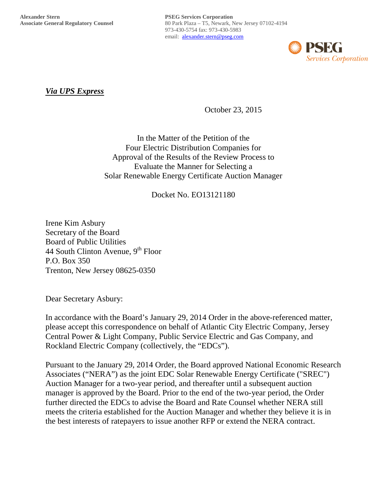**Associate General Regulatory Counsel** 80 Park Plaza – T5, Newark, New Jersey 07102-4194 973-430-5754 fax: 973-430-5983 email: [alexander.stern@pseg.com](mailto:alexander.stern@pseg.com)



*Via UPS Express*

October 23, 2015

In the Matter of the Petition of the Four Electric Distribution Companies for Approval of the Results of the Review Process to Evaluate the Manner for Selecting a Solar Renewable Energy Certificate Auction Manager

Docket No. EO13121180

Irene Kim Asbury Secretary of the Board Board of Public Utilities 44 South Clinton Avenue, 9<sup>th</sup> Floor P.O. Box 350 Trenton, New Jersey 08625-0350

Dear Secretary Asbury:

In accordance with the Board's January 29, 2014 Order in the above-referenced matter, please accept this correspondence on behalf of Atlantic City Electric Company, Jersey Central Power & Light Company, Public Service Electric and Gas Company, and Rockland Electric Company (collectively, the "EDCs").

Pursuant to the January 29, 2014 Order, the Board approved National Economic Research Associates ("NERA") as the joint EDC Solar Renewable Energy Certificate ("SREC") Auction Manager for a two-year period, and thereafter until a subsequent auction manager is approved by the Board. Prior to the end of the two-year period, the Order further directed the EDCs to advise the Board and Rate Counsel whether NERA still meets the criteria established for the Auction Manager and whether they believe it is in the best interests of ratepayers to issue another RFP or extend the NERA contract.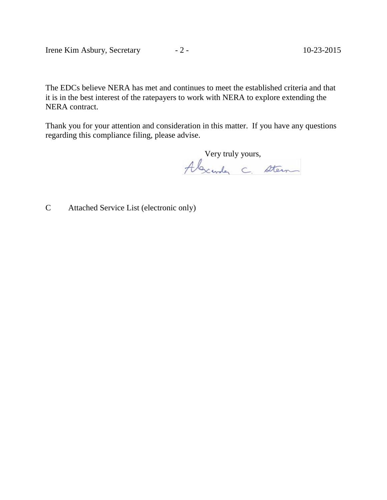Irene Kim Asbury, Secretary  $-2$  - 10-23-2015

The EDCs believe NERA has met and continues to meet the established criteria and that it is in the best interest of the ratepayers to work with NERA to explore extending the NERA contract.

Thank you for your attention and consideration in this matter. If you have any questions regarding this compliance filing, please advise.

Very truly yours,<br>Alexander C. Stern

C Attached Service List (electronic only)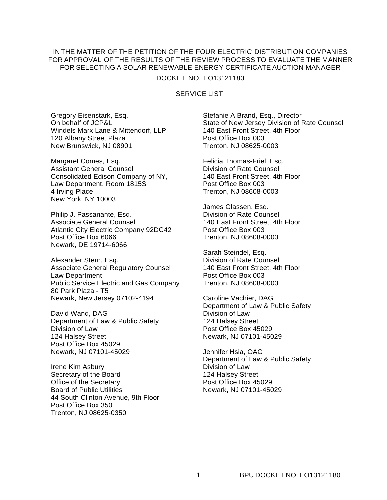## IN THE MATTER OF THE PETITION OF THE FOUR ELECTRIC DISTRIBUTION COMPANIES FOR APPROVAL OF THE RESULTS OF THE REVIEW PROCESS TO EVALUATE THE MANNER FOR SELECTING A SOLAR RENEWABLE ENERGY CERTIFICATE AUCTION MANAGER

## DOCKET NO. EO13121180

## **SERVICE LIST**

Gregory Eisenstark, Esq. On behalf of JCP&L Windels Marx Lane & Mittendorf, LLP 120 Albany Street Plaza New Brunswick, NJ 08901

Margaret Comes, Esq. Assistant General Counsel Consolidated Edison Company of NY, Law Department, Room 1815S 4 Irving Place New York, NY 10003

Philip J. Passanante, Esq. Associate General Counsel Atlantic City Electric Company 92DC42 Post Office Box 6066 Newark, DE 19714-6066

Alexander Stern, Esq. Associate General Regulatory Counsel Law Department Public Service Electric and Gas Company 80 Park Plaza - T5 Newark, New Jersey 07102-4194

David Wand, DAG Department of Law & Public Safety Division of Law 124 Halsey Street Post Office Box 45029 Newark, NJ 07101-45029

Irene Kim Asbury Secretary of the Board Office of the Secretary Board of Public Utilities 44 South Clinton Avenue, 9th Floor Post Office Box 350 Trenton, NJ 08625-0350

Stefanie A Brand, Esq., Director State of New Jersey Division of Rate Counsel 140 East Front Street, 4th Floor Post Office Box 003 Trenton, NJ 08625-0003

Felicia Thomas-Friel, Esq. Division of Rate Counsel 140 East Front Street, 4th Floor Post Office Box 003 Trenton, NJ 08608-0003

James Glassen, Esq. Division of Rate Counsel 140 East Front Street, 4th Floor Post Office Box 003 Trenton, NJ 08608-0003

Sarah Steindel, Esq. Division of Rate Counsel 140 East Front Street, 4th Floor Post Office Box 003 Trenton, NJ 08608-0003

Caroline Vachier, DAG Department of Law & Public Safety Division of Law 124 Halsey Street Post Office Box 45029 Newark, NJ 07101-45029

Jennifer Hsia, OAG Department of Law & Public Safety Division of Law 124 Halsey Street Post Office Box 45029 Newark, NJ 07101-45029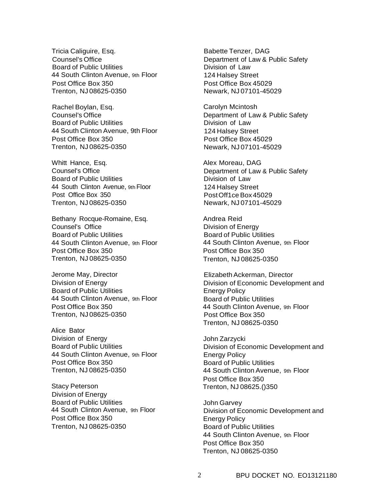Tricia Caliguire, Esq. Counsel's Office Board of Public Utilities 44 South Clinton Avenue, 9th Floor Post Office Box 350 Trenton, NJ 08625-0350

Rachel Boylan, Esq. Counsel's Office Board of Public Utilities 44 South Clinton Avenue, 9th Floor Post Office Box 350 Trenton, NJ 08625-0350

Whitt Hance, Esq. Counsel's Office Board of Public Utilities 44 South Clinton Avenue, 9th Floor Post Office Box 350 Trenton, NJ 08625-0350

Bethany Rocque-Romaine, Esq. Counsel's Office Board of Public Utilities 44 South Clinton Avenue, 9th Floor Post Office Box 350 Trenton, NJ 08625-0350

Jerome May, Director Division of Energy Board of Public Utilities 44 South Clinton Avenue, 9th Floor Post Office Box 350 Trenton, NJ 08625-0350

Alice Bator Division of Energy Board of Public Utilities 44 South Clinton Avenue, 9th Floor Post Office Box 350 Trenton, NJ 08625-0350

Stacy Peterson Division of Energy Board of Public Utilities 44 South Clinton Avenue, 9th Floor Post Office Box 350 Trenton, NJ 08625-0350

Babette Tenzer, DAG Department of Law & Public Safety Division of Law 124 Halsey Street Post Office Box 45029 Newark, NJ 07101-45029

Carolyn Mcintosh Department of Law & Public Safety Division of Law 124 Halsey Street Post Office Box 45029 Newark, NJ 07101-45029

Alex Moreau, DAG Department of Law & Public Safety Division of Law 124 Halsey Street Post Off1ce Box 45029 Newark, NJ 07101-45029

Andrea Reid Division of Energy Board of Public Utilities 44 South Clinton Avenue, 9th Floor Post Office Box 350 Trenton, NJ 08625-0350

ElizabethAckerman, Director Division of Economic Development and Energy Policy Board of Public Utilities 44 South Clinton Avenue, 9th Floor Post Office Box 350 Trenton, NJ 08625-0350

John Zarzycki Division of Economic Development and Energy Policy Board of Public Utilities 44 South Clinton Avenue, 9th Floor Post Office Box 350 Trenton, NJ 08625.()350

John Garvey Division of Economic Development and Energy Policy Board of Public Utilities 44 South Clinton Avenue, 9th Floor Post Office Box 350 Trenton, NJ 08625-0350